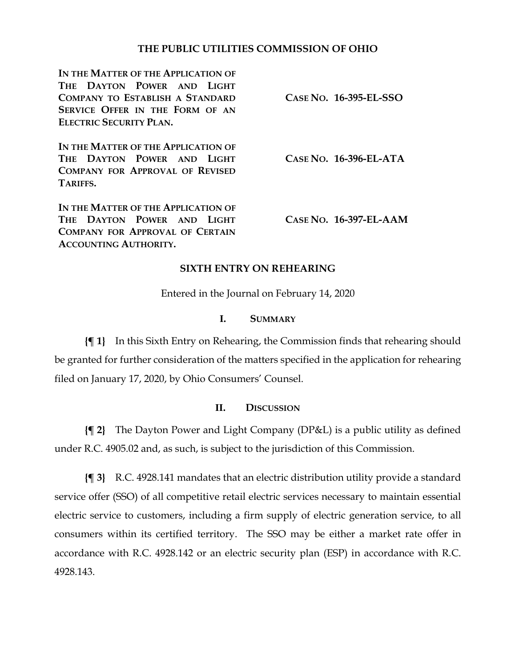### **THE PUBLIC UTILITIES COMMISSION OF OHIO**

**IN THE MATTER OF THE APPLICATION OF THE DAYTON POWER AND LIGHT COMPANY TO ESTABLISH A STANDARD SERVICE OFFER IN THE FORM OF AN ELECTRIC SECURITY PLAN. IN THE MATTER OF THE APPLICATION OF THE DAYTON POWER AND LIGHT COMPANY FOR APPROVAL OF REVISED TARIFFS. IN THE MATTER OF THE APPLICATION OF THE DAYTON POWER AND LIGHT COMPANY FOR APPROVAL OF CERTAIN ACCOUNTING AUTHORITY. CASE NO. 16-395-EL-SSO CASE NO. 16-396-EL-ATA CASE NO. 16-397-EL-AAM**

### **SIXTH ENTRY ON REHEARING**

Entered in the Journal on February 14, 2020

#### **I. SUMMARY**

**{¶ 1}** In this Sixth Entry on Rehearing, the Commission finds that rehearing should be granted for further consideration of the matters specified in the application for rehearing filed on January 17, 2020, by Ohio Consumers' Counsel.

## **II. DISCUSSION**

**{¶ 2}** The Dayton Power and Light Company (DP&L) is a public utility as defined under R.C. 4905.02 and, as such, is subject to the jurisdiction of this Commission.

**{¶ 3}** R.C. 4928.141 mandates that an electric distribution utility provide a standard service offer (SSO) of all competitive retail electric services necessary to maintain essential electric service to customers, including a firm supply of electric generation service, to all consumers within its certified territory. The SSO may be either a market rate offer in accordance with R.C. 4928.142 or an electric security plan (ESP) in accordance with R.C. 4928.143.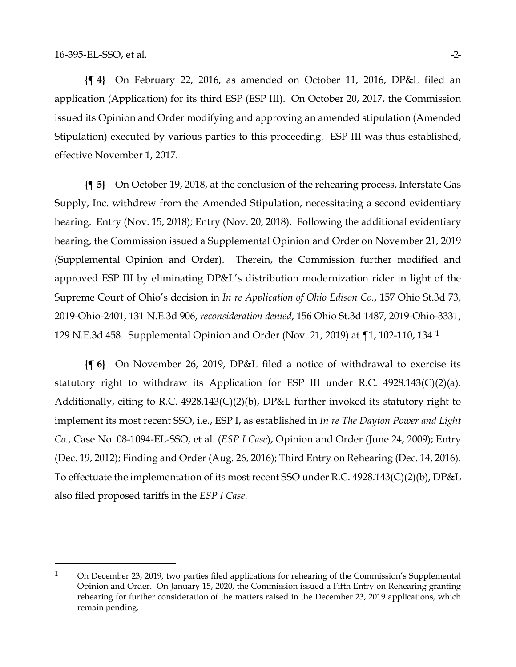$\overline{a}$ 

**{¶ 4}** On February 22, 2016, as amended on October 11, 2016, DP&L filed an application (Application) for its third ESP (ESP III). On October 20, 2017, the Commission issued its Opinion and Order modifying and approving an amended stipulation (Amended Stipulation) executed by various parties to this proceeding. ESP III was thus established, effective November 1, 2017.

**{¶ 5}** On October 19, 2018, at the conclusion of the rehearing process, Interstate Gas Supply, Inc. withdrew from the Amended Stipulation, necessitating a second evidentiary hearing. Entry (Nov. 15, 2018); Entry (Nov. 20, 2018). Following the additional evidentiary hearing, the Commission issued a Supplemental Opinion and Order on November 21, 2019 (Supplemental Opinion and Order). Therein, the Commission further modified and approved ESP III by eliminating DP&L's distribution modernization rider in light of the Supreme Court of Ohio's decision in *In re Application of Ohio Edison Co.*, 157 Ohio St.3d 73, 2019-Ohio-2401, 131 N.E.3d 906, *reconsideration denied*, 156 Ohio St.3d 1487, 2019-Ohio-3331, 129 N.E.3d 458. Supplemental Opinion and Order (Nov. 21, 2019) at ¶1, 102-110, 134.[1](#page-1-0)

**{¶ 6}** On November 26, 2019, DP&L filed a notice of withdrawal to exercise its statutory right to withdraw its Application for ESP III under R.C.  $4928.143(C)(2)(a)$ . Additionally, citing to R.C. 4928.143(C)(2)(b), DP&L further invoked its statutory right to implement its most recent SSO, i.e., ESP I, as established in *In re The Dayton Power and Light Co.*, Case No. 08-1094-EL-SSO, et al. (*ESP I Case*), Opinion and Order (June 24, 2009); Entry (Dec. 19, 2012); Finding and Order (Aug. 26, 2016); Third Entry on Rehearing (Dec. 14, 2016). To effectuate the implementation of its most recent SSO under R.C. 4928.143(C)(2)(b), DP&L also filed proposed tariffs in the *ESP I Case*.

<span id="page-1-0"></span><sup>1</sup> On December 23, 2019, two parties filed applications for rehearing of the Commission's Supplemental Opinion and Order. On January 15, 2020, the Commission issued a Fifth Entry on Rehearing granting rehearing for further consideration of the matters raised in the December 23, 2019 applications, which remain pending.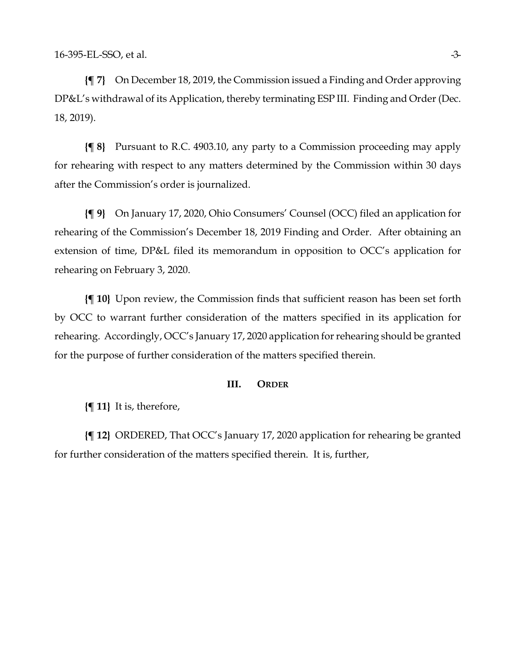**{¶ 7}** On December 18, 2019, the Commission issued a Finding and Order approving DP&L's withdrawal of its Application, thereby terminating ESP III. Finding and Order (Dec. 18, 2019).

**{¶ 8}** Pursuant to R.C. 4903.10, any party to a Commission proceeding may apply for rehearing with respect to any matters determined by the Commission within 30 days after the Commission's order is journalized.

**{¶ 9}** On January 17, 2020, Ohio Consumers' Counsel (OCC) filed an application for rehearing of the Commission's December 18, 2019 Finding and Order. After obtaining an extension of time, DP&L filed its memorandum in opposition to OCC's application for rehearing on February 3, 2020.

**{¶ 10}** Upon review, the Commission finds that sufficient reason has been set forth by OCC to warrant further consideration of the matters specified in its application for rehearing. Accordingly, OCC's January 17, 2020 application for rehearing should be granted for the purpose of further consideration of the matters specified therein.

#### **III. ORDER**

**{¶ 11}** It is, therefore,

**{¶ 12}** ORDERED, That OCC's January 17, 2020 application for rehearing be granted for further consideration of the matters specified therein. It is, further,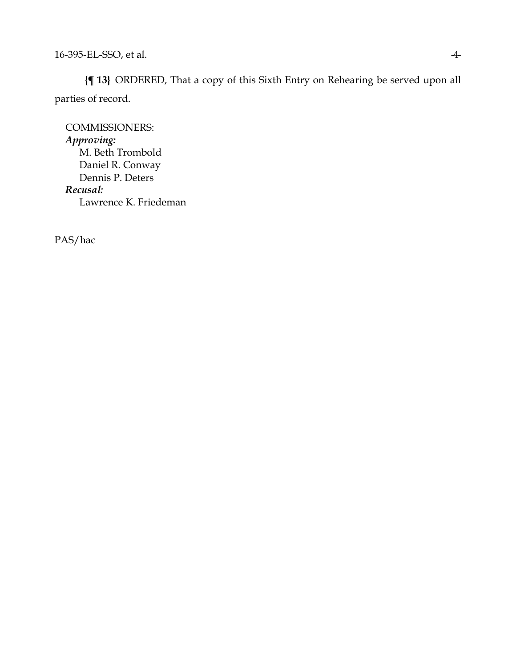**{¶ 13}** ORDERED, That a copy of this Sixth Entry on Rehearing be served upon all parties of record.

COMMISSIONERS: *Approving:*  M. Beth Trombold Daniel R. Conway Dennis P. Deters *Recusal:* Lawrence K. Friedeman

PAS/hac